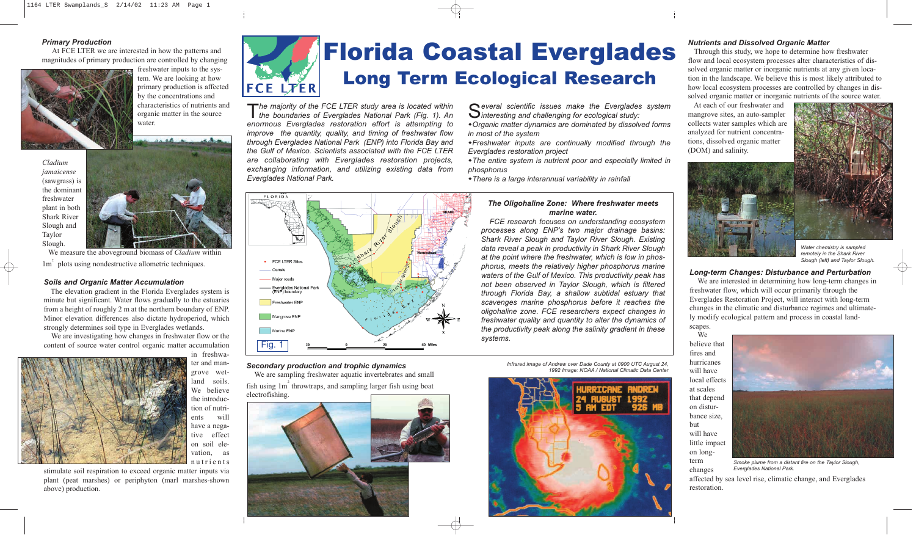#### *Primary Production*

At FCE LTER we are interested in how the patterns and magnitudes of primary production are controlled by changing



We measure the aboveground biomass of *Cladium* within 1m<sup>2</sup> plots using nondestructive allometric techniques.

freshwater inputs to the system. We are looking at how primary production is affected by the concentrations and characteristics of nutrients and organic matter in the source water.

*Cladium jamaicense* (sawgrass) is the dominant freshwater plant in both Shark River Slough and Taylor Slough.



#### *Secondary production and trophic dynamics*

We are sampling freshwater aquatic invertebrates and small fish using  $1m<sup>2</sup>$  throwtraps, and sampling larger fish using boat electrofishing.



*Soils and Organic Matter Accumulation*

The elevation gradient in the Florida Everglades system is minute but significant. Water flows gradually to the estuaries from a height of roughly 2 m at the northern boundary of ENP. Minor elevation differences also dictate hydroperiod, which strongly determines soil type in Everglades wetlands.

We are investigating how changes in freshwater flow or the content of source water control organic matter accumulation



in freshwa-

ter and mangrove wetland soils. We believe the introduction of nutrients will have a negative effect on soil elevation, as nutrients

stimulate soil respiration to exceed organic matter inputs via plant (peat marshes) or periphyton (marl marshes-shown above) production.



**FLORID** 

## Florida Coastal Everglades Long Term Ecological Research

T*he majority of the FCE LTER study area is located within the boundaries of Everglades National Park (Fig. 1). An enormous Everglades restoration effort is attempting to improve the quantity, quality, and timing of freshwater flow through Everglades National Park (ENP) into Florida Bay and the Gulf of Mexico. Scientists associated with the FCE LTER are collaborating with Everglades restoration projects, exchanging information, and utilizing existing data from Everglades National Park.*

### • FCE LTER Sites - Canals - Major roads — Everglades National Park<br>(ENP) boundary Freshwater ENP Mangrove ENP Marine ENP Fig. 1

S*everal scientific issues make the Everglades system interesting and challenging for ecological study:*

w*Organic matter dynamics are dominated by dissolved forms in most of the system*

w*Freshwater inputs are continually modified through the Everglades restoration project* 

w*The entire system is nutrient poor and especially limited in phosphorus* 

w*There is a large interannual variability in rainfall*

#### *Nutrients and Dissolved Organic Matter*

Through this study, we hope to determine how freshwater flow and local ecosystem processes alter characteristics of dissolved organic matter or inorganic nutrients at any given location in the landscape. We believe this is most likely attributed to how local ecosystem processes are controlled by changes in dissolved organic matter or inorganic nutrients of the source water.

At each of our freshwater and mangrove sites, an auto-sampler collects water samples which are analyzed for nutrient concentrations, dissolved organic matter (DOM) and salinity.



#### *Long-term Changes: Disturbance and Perturbation*

We are interested in determining how long-term changes in freshwater flow, which will occur primarily through the Everglades Restoration Project, will interact with long-term changes in the climatic and disturbance regimes and ultimately modify ecological pattern and process in coastal landscapes.

We believe that fires and hurricanes will have local effects at scales that depend on disturbance size, but will have little impact on longterm changes

affected by sea level rise, climatic change, and Everglades restoration.



*Smoke plume from a distant fire on the Taylor Slough, Everglades National Park.*



*Water chemistry is sampled remotely in the Shark River Slough (left) and Taylor Slough.*

#### *The Oligohaline Zone: Where freshwater meets marine water.*

*FCE research focuses on understanding ecosystem processes along ENP's two major drainage basins: Shark River Slough and Taylor River Slough. Existing data reveal a peak in productivity in Shark River Slough at the point where the freshwater, which is low in phosphorus, meets the relatively higher phosphorus marine waters of the Gulf of Mexico. This productivity peak has not been observed in Taylor Slough, which is filtered through Florida Bay, a shallow subtidal estuary that scavenges marine phosphorus before it reaches the oligohaline zone. FCE researchers expect changes in freshwater quality and quantity to alter the dynamics of the productivity peak along the salinity gradient in these systems.*

> *Infrared image of Andrew over Dade County at 0900 UTC August 24, 1992 Image: NOAA / National Climatic Data Center*